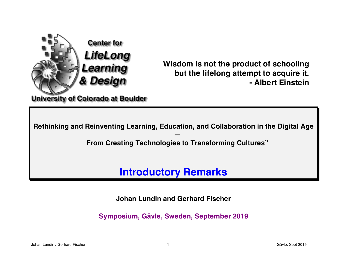

**Wisdom is not the product of schooling but the lifelong attempt to acquire it. - Albert Einstein**

**Rethinking and Reinventing Learning, Education, and Collaboration in the Digital Age** 

**— From Creating Technologies to Transforming Cultures"**

**Introductory Remarks** 

**Johan Lundin and Gerhard Fischer** 

**Symposium, Gävle, Sweden, September 2019**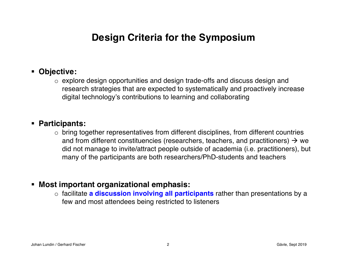## **Design Criteria for the Symposium**

### ! **Objective:**

o explore design opportunities and design trade-offs and discuss design and research strategies that are expected to systematically and proactively increase digital technology's contributions to learning and collaborating

#### ! **Participants:**

 $\circ$  bring together representatives from different disciplines, from different countries and from different constituencies (researchers, teachers, and practitioners)  $\rightarrow$  we did not manage to invite/attract people outside of academia (i.e. practitioners), but many of the participants are both researchers/PhD-students and teachers

### ! **Most important organizational emphasis:**

o facilitate **a discussion involving all participants** rather than presentations by a few and most attendees being restricted to listeners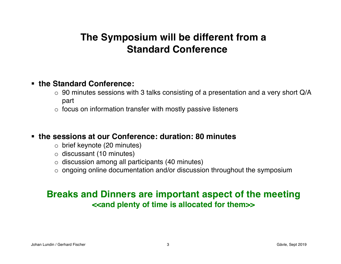# **The Symposium will be different from a Standard Conference**

### ! **the Standard Conference:**

- $\circ$  90 minutes sessions with 3 talks consisting of a presentation and a very short Q/A part
- $\circ$  focus on information transfer with mostly passive listeners

### ! **the sessions at our Conference: duration: 80 minutes**

- o brief keynote (20 minutes)
- o discussant (10 minutes)
- $\circ$  discussion among all participants (40 minutes)
- $\circ$  ongoing online documentation and/or discussion throughout the symposium

### **Breaks and Dinners are important aspect of the meeting <<and plenty of time is allocated for them>>**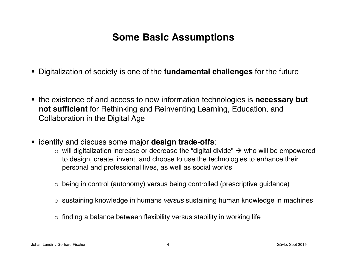# **Some Basic Assumptions**

- ! Digitalization of society is one of the **fundamental challenges** for the future
- ! the existence of and access to new information technologies is **necessary but not sufficient** for Rethinking and Reinventing Learning, Education, and Collaboration in the Digital Age
- ! identify and discuss some major **design trade-offs**:
	- $\circ$  will digitalization increase or decrease the "digital divide"  $\rightarrow$  who will be empowered to design, create, invent, and choose to use the technologies to enhance their personal and professional lives, as well as social worlds
	- o being in control (autonomy) versus being controlled (prescriptive guidance)
	- o sustaining knowledge in humans *versus* sustaining human knowledge in machines
	- $\circ$  finding a balance between flexibility versus stability in working life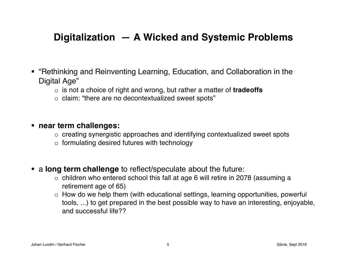## **Digitalization — A Wicked and Systemic Problems**

- ! "Rethinking and Reinventing Learning, Education, and Collaboration in the Digital Age"
	- o is not a choice of right and wrong, but rather a matter of **tradeoffs**
	- o claim: "there are no decontextualized sweet spots"

#### ! **near term challenges:**

- o creating synergistic approaches and identifying contextualized sweet spots
- $\circ$  formulating desired futures with technology
- ! a **long term challenge** to reflect/speculate about the future:
	- o children who entered school this fall at age 6 will retire in 2078 (assuming a retirement age of 65)
	- o How do we help them (with educational settings, learning opportunities, powerful tools, ...) to get prepared in the best possible way to have an interesting, enjoyable, and successful life??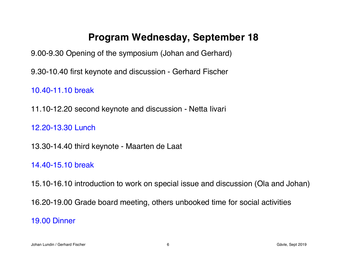### **Program Wednesday, September 18**

9.00-9.30 Opening of the symposium (Johan and Gerhard)

9.30-10.40 first keynote and discussion - Gerhard Fischer

10.40-11.10 break

11.10-12.20 second keynote and discussion - Netta Iivari

12.20-13.30 Lunch

13.30-14.40 third keynote - Maarten de Laat

14.40-15.10 break

15.10-16.10 introduction to work on special issue and discussion (Ola and Johan)

16.20-19.00 Grade board meeting, others unbooked time for social activities

19.00 Dinner